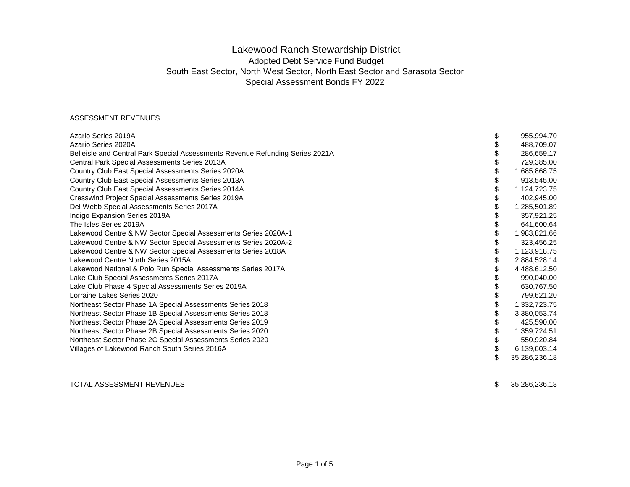# Lakewood Ranch Stewardship District Adopted Debt Service Fund Budget South East Sector, North West Sector, North East Sector and Sarasota Sector Special Assessment Bonds FY 2022

#### ASSESSMENT REVENUES

| Azario Series 2019A                                                           | \$<br>955,994.70    |
|-------------------------------------------------------------------------------|---------------------|
| Azario Series 2020A                                                           | 488,709.07          |
| Belleisle and Central Park Special Assessments Revenue Refunding Series 2021A | 286,659.17          |
| Central Park Special Assessments Series 2013A                                 | 729,385.00          |
| Country Club East Special Assessments Series 2020A                            | 1,685,868.75        |
| Country Club East Special Assessments Series 2013A                            | 913,545.00          |
| Country Club East Special Assessments Series 2014A                            | 1,124,723.75        |
| <b>Cresswind Project Special Assessments Series 2019A</b>                     | 402,945.00          |
| Del Webb Special Assessments Series 2017A                                     | 1,285,501.89        |
| Indigo Expansion Series 2019A                                                 | 357,921.25          |
| The Isles Series 2019A                                                        | 641,600.64          |
| Lakewood Centre & NW Sector Special Assessments Series 2020A-1                | 1,983,821.66        |
| Lakewood Centre & NW Sector Special Assessments Series 2020A-2                | 323,456.25          |
| Lakewood Centre & NW Sector Special Assessments Series 2018A                  | 1,123,918.75        |
| Lakewood Centre North Series 2015A                                            | 2,884,528.14        |
| Lakewood National & Polo Run Special Assessments Series 2017A                 | 4,488,612.50        |
| Lake Club Special Assessments Series 2017A                                    | 990,040.00          |
| Lake Club Phase 4 Special Assessments Series 2019A                            | 630,767.50          |
| Lorraine Lakes Series 2020                                                    | 799,621.20          |
| Northeast Sector Phase 1A Special Assessments Series 2018                     | 1,332,723.75        |
| Northeast Sector Phase 1B Special Assessments Series 2018                     | 3,380,053.74        |
| Northeast Sector Phase 2A Special Assessments Series 2019                     | 425,590.00          |
| Northeast Sector Phase 2B Special Assessments Series 2020                     | 1,359,724.51        |
| Northeast Sector Phase 2C Special Assessments Series 2020                     | 550,920.84          |
| Villages of Lakewood Ranch South Series 2016A                                 | \$<br>6,139,603.14  |
|                                                                               | \$<br>35,286,236.18 |
|                                                                               |                     |

### TOTAL ASSESSMENT REVENUES

 $$35,286,236.18$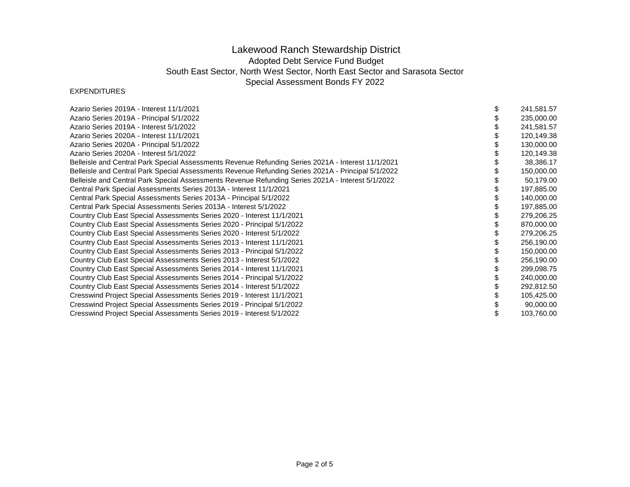# Lakewood Ranch Stewardship District Adopted Debt Service Fund Budget South East Sector, North West Sector, North East Sector and Sarasota Sector Special Assessment Bonds FY 2022

### EXPENDITURES

| Azario Series 2019A - Interest 11/1/2021                                                           | 241,581.57 |
|----------------------------------------------------------------------------------------------------|------------|
| Azario Series 2019A - Principal 5/1/2022                                                           | 235,000.00 |
| Azario Series 2019A - Interest 5/1/2022                                                            | 241,581.57 |
| Azario Series 2020A - Interest 11/1/2021                                                           | 120,149.38 |
| Azario Series 2020A - Principal 5/1/2022                                                           | 130,000.00 |
| Azario Series 2020A - Interest 5/1/2022                                                            | 120,149.38 |
| Belleisle and Central Park Special Assessments Revenue Refunding Series 2021A - Interest 11/1/2021 | 38,386.17  |
| Belleisle and Central Park Special Assessments Revenue Refunding Series 2021A - Principal 5/1/2022 | 150,000.00 |
| Belleisle and Central Park Special Assessments Revenue Refunding Series 2021A - Interest 5/1/2022  | 50,179.00  |
| Central Park Special Assessments Series 2013A - Interest 11/1/2021                                 | 197,885.00 |
| Central Park Special Assessments Series 2013A - Principal 5/1/2022                                 | 140,000.00 |
| Central Park Special Assessments Series 2013A - Interest 5/1/2022                                  | 197,885.00 |
| Country Club East Special Assessments Series 2020 - Interest 11/1/2021                             | 279,206.25 |
| Country Club East Special Assessments Series 2020 - Principal 5/1/2022                             | 870,000.00 |
| Country Club East Special Assessments Series 2020 - Interest 5/1/2022                              | 279,206.25 |
| Country Club East Special Assessments Series 2013 - Interest 11/1/2021                             | 256,190.00 |
| Country Club East Special Assessments Series 2013 - Principal 5/1/2022                             | 150,000.00 |
| Country Club East Special Assessments Series 2013 - Interest 5/1/2022                              | 256,190.00 |
| Country Club East Special Assessments Series 2014 - Interest 11/1/2021                             | 299,098.75 |
| Country Club East Special Assessments Series 2014 - Principal 5/1/2022                             | 240,000.00 |
| Country Club East Special Assessments Series 2014 - Interest 5/1/2022                              | 292,812.50 |
| Cresswind Project Special Assessments Series 2019 - Interest 11/1/2021                             | 105,425.00 |
| Cresswind Project Special Assessments Series 2019 - Principal 5/1/2022                             | 90,000.00  |
| Cresswind Project Special Assessments Series 2019 - Interest 5/1/2022                              | 103,760.00 |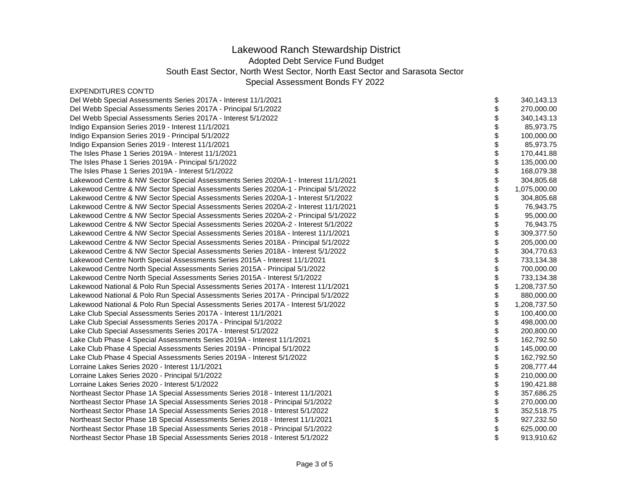# Lakewood Ranch Stewardship District

Adopted Debt Service Fund Budget

South East Sector, North West Sector, North East Sector and Sarasota Sector

Special Assessment Bonds FY 2022

| <b>EXPENDITURES CONTD</b> |  |
|---------------------------|--|
|---------------------------|--|

| Del Webb Special Assessments Series 2017A - Interest 11/1/2021                      | \$<br>340,143.13 |
|-------------------------------------------------------------------------------------|------------------|
| Del Webb Special Assessments Series 2017A - Principal 5/1/2022                      | 270,000.00       |
| Del Webb Special Assessments Series 2017A - Interest 5/1/2022                       | 340,143.13       |
| Indigo Expansion Series 2019 - Interest 11/1/2021                                   | 85,973.75        |
| Indigo Expansion Series 2019 - Principal 5/1/2022                                   | 100,000.00       |
| Indigo Expansion Series 2019 - Interest 11/1/2021                                   | 85,973.75        |
| The Isles Phase 1 Series 2019A - Interest 11/1/2021                                 | 170,441.88       |
| The Isles Phase 1 Series 2019A - Principal 5/1/2022                                 | 135,000.00       |
| The Isles Phase 1 Series 2019A - Interest 5/1/2022                                  | 168,079.38       |
| Lakewood Centre & NW Sector Special Assessments Series 2020A-1 - Interest 11/1/2021 | 304,805.68       |
| Lakewood Centre & NW Sector Special Assessments Series 2020A-1 - Principal 5/1/2022 | 1,075,000.00     |
| Lakewood Centre & NW Sector Special Assessments Series 2020A-1 - Interest 5/1/2022  | 304,805.68       |
| Lakewood Centre & NW Sector Special Assessments Series 2020A-2 - Interest 11/1/2021 | 76,943.75        |
| Lakewood Centre & NW Sector Special Assessments Series 2020A-2 - Principal 5/1/2022 | 95,000.00        |
| Lakewood Centre & NW Sector Special Assessments Series 2020A-2 - Interest 5/1/2022  | 76,943.75        |
| Lakewood Centre & NW Sector Special Assessments Series 2018A - Interest 11/1/2021   | 309,377.50       |
| Lakewood Centre & NW Sector Special Assessments Series 2018A - Principal 5/1/2022   | 205,000.00       |
| Lakewood Centre & NW Sector Special Assessments Series 2018A - Interest 5/1/2022    | 304,770.63       |
| Lakewood Centre North Special Assessments Series 2015A - Interest 11/1/2021         | 733,134.38       |
| Lakewood Centre North Special Assessments Series 2015A - Principal 5/1/2022         | 700,000.00       |
| Lakewood Centre North Special Assessments Series 2015A - Interest 5/1/2022          | 733,134.38       |
| Lakewood National & Polo Run Special Assessments Series 2017A - Interest 11/1/2021  | 1,208,737.50     |
| Lakewood National & Polo Run Special Assessments Series 2017A - Principal 5/1/2022  | 880,000.00       |
| Lakewood National & Polo Run Special Assessments Series 2017A - Interest 5/1/2022   | 1,208,737.50     |
| Lake Club Special Assessments Series 2017A - Interest 11/1/2021                     | 100,400.00       |
| Lake Club Special Assessments Series 2017A - Principal 5/1/2022                     | 498,000.00       |
| Lake Club Special Assessments Series 2017A - Interest 5/1/2022                      | 200,800.00       |
| Lake Club Phase 4 Special Assessments Series 2019A - Interest 11/1/2021             | 162,792.50       |
| Lake Club Phase 4 Special Assessments Series 2019A - Principal 5/1/2022             | 145,000.00       |
| Lake Club Phase 4 Special Assessments Series 2019A - Interest 5/1/2022              | 162,792.50       |
| Lorraine Lakes Series 2020 - Interest 11/1/2021                                     | 208,777.44       |
| Lorraine Lakes Series 2020 - Principal 5/1/2022                                     | 210,000.00       |
| Lorraine Lakes Series 2020 - Interest 5/1/2022                                      | 190,421.88       |
| Northeast Sector Phase 1A Special Assessments Series 2018 - Interest 11/1/2021      | 357,686.25       |
| Northeast Sector Phase 1A Special Assessments Series 2018 - Principal 5/1/2022      | 270,000.00       |
| Northeast Sector Phase 1A Special Assessments Series 2018 - Interest 5/1/2022       | 352,518.75       |
| Northeast Sector Phase 1B Special Assessments Series 2018 - Interest 11/1/2021      | 927,232.50       |
| Northeast Sector Phase 1B Special Assessments Series 2018 - Principal 5/1/2022      | 625,000.00       |
| Northeast Sector Phase 1B Special Assessments Series 2018 - Interest 5/1/2022       | 913,910.62       |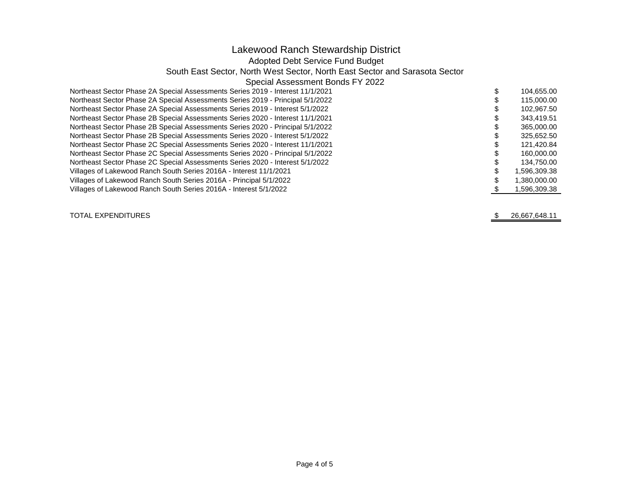# Lakewood Ranch Stewardship District

### Adopted Debt Service Fund Budget

### South East Sector, North West Sector, North East Sector and Sarasota Sector

### Special Assessment Bonds FY 2022

| Northeast Sector Phase 2A Special Assessments Series 2019 - Interest 11/1/2021 | 104.655.00   |
|--------------------------------------------------------------------------------|--------------|
| Northeast Sector Phase 2A Special Assessments Series 2019 - Principal 5/1/2022 | 115,000,00   |
| Northeast Sector Phase 2A Special Assessments Series 2019 - Interest 5/1/2022  | 102,967.50   |
| Northeast Sector Phase 2B Special Assessments Series 2020 - Interest 11/1/2021 | 343.419.51   |
| Northeast Sector Phase 2B Special Assessments Series 2020 - Principal 5/1/2022 | 365,000.00   |
| Northeast Sector Phase 2B Special Assessments Series 2020 - Interest 5/1/2022  | 325,652.50   |
| Northeast Sector Phase 2C Special Assessments Series 2020 - Interest 11/1/2021 | 121,420.84   |
| Northeast Sector Phase 2C Special Assessments Series 2020 - Principal 5/1/2022 | 160,000.00   |
| Northeast Sector Phase 2C Special Assessments Series 2020 - Interest 5/1/2022  | 134.750.00   |
| Villages of Lakewood Ranch South Series 2016A - Interest 11/1/2021             | 1.596.309.38 |
| Villages of Lakewood Ranch South Series 2016A - Principal 5/1/2022             | 1.380.000.00 |
| Villages of Lakewood Ranch South Series 2016A - Interest 5/1/2022              | 1,596,309.38 |

TOTAL EXPENDITURES

 $\sqrt{2}$ 26,667,648.11